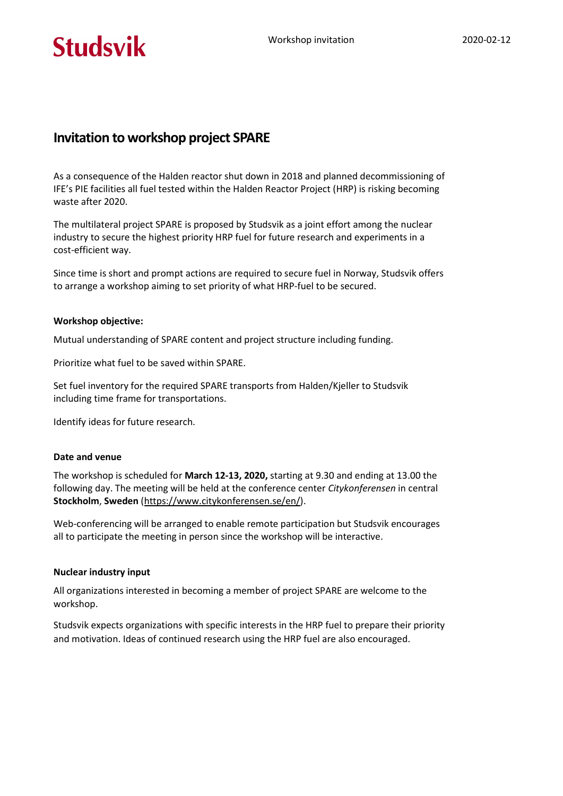# **Studsvik**

# Invitation to workshop project SPARE

As a consequence of the Halden reactor shut down in 2018 and planned decommissioning of IFE's PIE facilities all fuel tested within the Halden Reactor Project (HRP) is risking becoming waste after 2020.

The multilateral project SPARE is proposed by Studsvik as a joint effort among the nuclear industry to secure the highest priority HRP fuel for future research and experiments in a cost-efficient way.

Since time is short and prompt actions are required to secure fuel in Norway, Studsvik offers to arrange a workshop aiming to set priority of what HRP-fuel to be secured.

### Workshop objective:

Mutual understanding of SPARE content and project structure including funding.

Prioritize what fuel to be saved within SPARE.

Set fuel inventory for the required SPARE transports from Halden/Kjeller to Studsvik including time frame for transportations.

Identify ideas for future research.

#### Date and venue

The workshop is scheduled for March 12-13, 2020, starting at 9.30 and ending at 13.00 the following day. The meeting will be held at the conference center Citykonferensen in central Stockholm, Sweden (https://www.citykonferensen.se/en/).

Web-conferencing will be arranged to enable remote participation but Studsvik encourages all to participate the meeting in person since the workshop will be interactive.

#### Nuclear industry input

All organizations interested in becoming a member of project SPARE are welcome to the workshop.

Studsvik expects organizations with specific interests in the HRP fuel to prepare their priority and motivation. Ideas of continued research using the HRP fuel are also encouraged.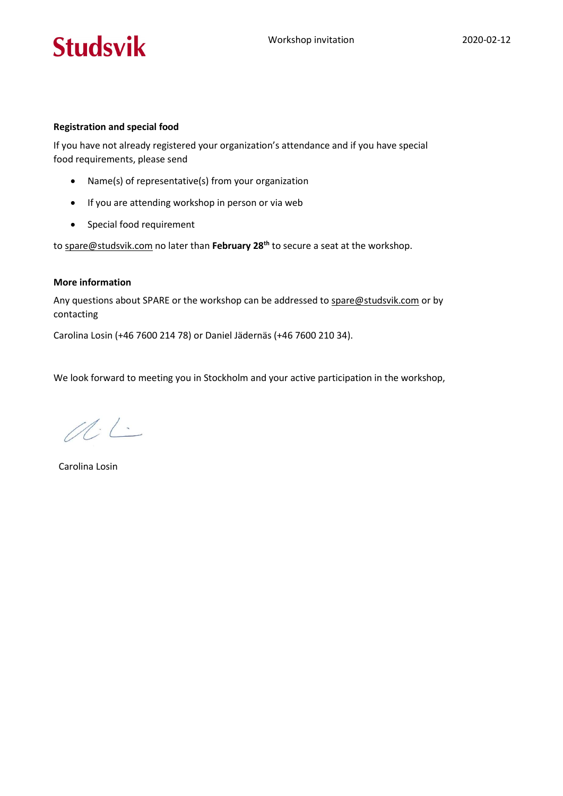# **Studsvik**

### Registration and special food

If you have not already registered your organization's attendance and if you have special food requirements, please send

- Name(s) of representative(s) from your organization
- If you are attending workshop in person or via web
- Special food requirement

to spare@studsvik.com no later than February 28<sup>th</sup> to secure a seat at the workshop.

### More information

Any questions about SPARE or the workshop can be addressed to spare@studsvik.com or by contacting

Carolina Losin (+46 7600 214 78) or Daniel Jädernäs (+46 7600 210 34).

We look forward to meeting you in Stockholm and your active participation in the workshop,

 $M.L.$ 

Carolina Losin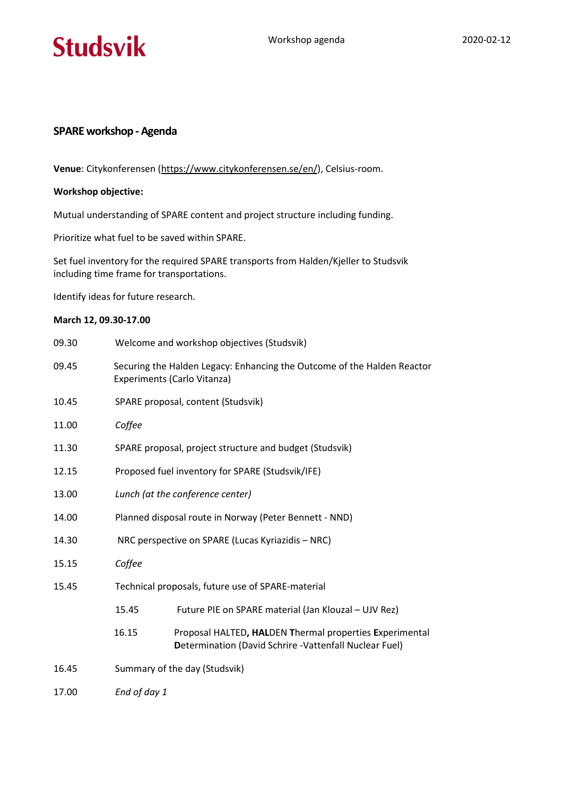

## SPARE workshop - Agenda

Venue: Citykonferensen (https://www.citykonferensen.se/en/), Celsius-room.

#### Workshop objective:

Mutual understanding of SPARE content and project structure including funding.

Prioritize what fuel to be saved within SPARE.

Set fuel inventory for the required SPARE transports from Halden/Kjeller to Studsvik including time frame for transportations.

Identify ideas for future research.

### March 12, 09.30-17.00

| 09.30 | Welcome and workshop objectives (Studsvik)                                                             |                                                                                                                   |
|-------|--------------------------------------------------------------------------------------------------------|-------------------------------------------------------------------------------------------------------------------|
| 09.45 | Securing the Halden Legacy: Enhancing the Outcome of the Halden Reactor<br>Experiments (Carlo Vitanza) |                                                                                                                   |
| 10.45 | SPARE proposal, content (Studsvik)                                                                     |                                                                                                                   |
| 11.00 | Coffee                                                                                                 |                                                                                                                   |
| 11.30 | SPARE proposal, project structure and budget (Studsvik)                                                |                                                                                                                   |
| 12.15 | Proposed fuel inventory for SPARE (Studsvik/IFE)                                                       |                                                                                                                   |
| 13.00 | Lunch (at the conference center)                                                                       |                                                                                                                   |
| 14.00 | Planned disposal route in Norway (Peter Bennett - NND)                                                 |                                                                                                                   |
| 14.30 | NRC perspective on SPARE (Lucas Kyriazidis - NRC)                                                      |                                                                                                                   |
| 15.15 | Coffee                                                                                                 |                                                                                                                   |
| 15.45 | Technical proposals, future use of SPARE-material                                                      |                                                                                                                   |
|       | 15.45                                                                                                  | Future PIE on SPARE material (Jan Klouzal - UJV Rez)                                                              |
|       | 16.15                                                                                                  | Proposal HALTED, HALDEN Thermal properties Experimental<br>Determination (David Schrire -Vattenfall Nuclear Fuel) |
| 16.45 | Summary of the day (Studsvik)                                                                          |                                                                                                                   |
| 17.00 | End of day 1                                                                                           |                                                                                                                   |